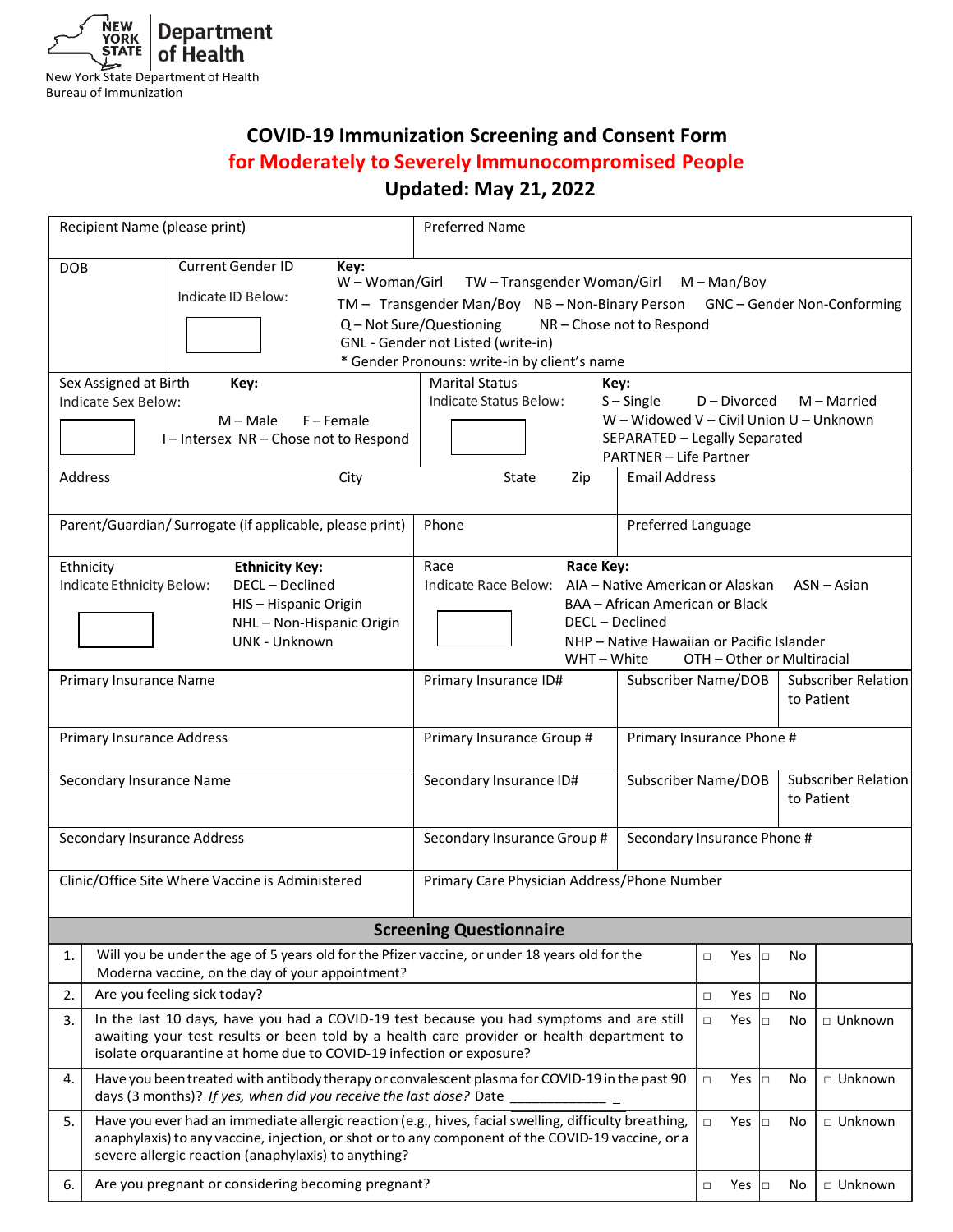

# **COVID-19 Immunization Screening and Consent Form for Moderately to Severely Immunocompromised People Updated: May 21, 2022**

|                                                          | Recipient Name (please print)                                                                                                                                                                                                                                                                                                               | <b>Preferred Name</b>                                                                                                                                                                                                                       |                      |                                                                        |           |                                   |  |  |
|----------------------------------------------------------|---------------------------------------------------------------------------------------------------------------------------------------------------------------------------------------------------------------------------------------------------------------------------------------------------------------------------------------------|---------------------------------------------------------------------------------------------------------------------------------------------------------------------------------------------------------------------------------------------|----------------------|------------------------------------------------------------------------|-----------|-----------------------------------|--|--|
| <b>DOB</b>                                               | <b>Current Gender ID</b><br>Key:<br>W - Woman/Girl<br>TW-Transgender Woman/Girl M-Man/Boy<br>Indicate ID Below:<br>TM - Transgender Man/Boy NB - Non-Binary Person GNC - Gender Non-Conforming<br>Q - Not Sure/Questioning<br>NR-Chose not to Respond<br>GNL - Gender not Listed (write-in)<br>* Gender Pronouns: write-in by client's name |                                                                                                                                                                                                                                             |                      |                                                                        |           |                                   |  |  |
|                                                          | Sex Assigned at Birth<br>Key:<br>Indicate Sex Below:<br>$M - Male$<br>$F -$ Female<br>I-Intersex NR-Chose not to Respond                                                                                                                                                                                                                    | <b>Marital Status</b><br>Key:<br>Indicate Status Below:<br>$S -$ Single<br>M - Married<br>D - Divorced<br>W - Widowed V - Civil Union U - Unknown<br>SEPARATED - Legally Separated<br><b>PARTNER - Life Partner</b>                         |                      |                                                                        |           |                                   |  |  |
|                                                          | Address<br>City                                                                                                                                                                                                                                                                                                                             | State<br>Zip                                                                                                                                                                                                                                | <b>Email Address</b> |                                                                        |           |                                   |  |  |
|                                                          | Parent/Guardian/ Surrogate (if applicable, please print)                                                                                                                                                                                                                                                                                    | Phone                                                                                                                                                                                                                                       | Preferred Language   |                                                                        |           |                                   |  |  |
|                                                          | Ethnicity<br><b>Ethnicity Key:</b><br>Indicate Ethnicity Below:<br>DECL - Declined<br>HIS-Hispanic Origin<br>NHL-Non-Hispanic Origin<br>UNK - Unknown                                                                                                                                                                                       | Race<br>Race Key:<br>Indicate Race Below: AIA - Native American or Alaskan<br>$ASN - Asian$<br>BAA - African American or Black<br>DECL - Declined<br>NHP - Native Hawaiian or Pacific Islander<br>WHT - White<br>OTH - Other or Multiracial |                      |                                                                        |           |                                   |  |  |
|                                                          | Primary Insurance Name                                                                                                                                                                                                                                                                                                                      | Primary Insurance ID#                                                                                                                                                                                                                       | Subscriber Name/DOB  |                                                                        |           | Subscriber Relation<br>to Patient |  |  |
|                                                          | <b>Primary Insurance Address</b>                                                                                                                                                                                                                                                                                                            | Primary Insurance Group #                                                                                                                                                                                                                   |                      | Primary Insurance Phone #                                              |           |                                   |  |  |
|                                                          | Secondary Insurance Name                                                                                                                                                                                                                                                                                                                    | Secondary Insurance ID#                                                                                                                                                                                                                     |                      | <b>Subscriber Relation</b><br><b>Subscriber Name/DOB</b><br>to Patient |           |                                   |  |  |
|                                                          | Secondary Insurance Address                                                                                                                                                                                                                                                                                                                 | Secondary Insurance Phone #<br>Secondary Insurance Group #                                                                                                                                                                                  |                      |                                                                        |           |                                   |  |  |
|                                                          | Clinic/Office Site Where Vaccine is Administered                                                                                                                                                                                                                                                                                            | Primary Care Physician Address/Phone Number                                                                                                                                                                                                 |                      |                                                                        |           |                                   |  |  |
| <b>Screening Questionnaire</b>                           |                                                                                                                                                                                                                                                                                                                                             |                                                                                                                                                                                                                                             |                      |                                                                        |           |                                   |  |  |
| 1.                                                       | Will you be under the age of 5 years old for the Pfizer vaccine, or under 18 years old for the<br>Moderna vaccine, on the day of your appointment?                                                                                                                                                                                          |                                                                                                                                                                                                                                             |                      | Yes<br>$\Box$                                                          | No<br>Iо  |                                   |  |  |
| 2.                                                       | Are you feeling sick today?                                                                                                                                                                                                                                                                                                                 |                                                                                                                                                                                                                                             | Yes<br>$\Box$        | No<br>$\Box$                                                           |           |                                   |  |  |
| 3.                                                       | In the last 10 days, have you had a COVID-19 test because you had symptoms and are still<br>awaiting your test results or been told by a health care provider or health department to<br>isolate orquarantine at home due to COVID-19 infection or exposure?                                                                                |                                                                                                                                                                                                                                             | Yes<br>$\Box$        | $\Box$<br>No                                                           | □ Unknown |                                   |  |  |
| 4.                                                       | Have you been treated with antibody therapy or convalescent plasma for COVID-19 in the past 90<br>days (3 months)? If yes, when did you receive the last dose? Date                                                                                                                                                                         |                                                                                                                                                                                                                                             | $\Box$<br>Yes        | No<br>Iо                                                               | □ Unknown |                                   |  |  |
| 5.                                                       | Have you ever had an immediate allergic reaction (e.g., hives, facial swelling, difficulty breathing,<br>anaphylaxis) to any vaccine, injection, or shot or to any component of the COVID-19 vaccine, or a<br>severe allergic reaction (anaphylaxis) to anything?                                                                           |                                                                                                                                                                                                                                             |                      |                                                                        |           | □ Unknown                         |  |  |
| Are you pregnant or considering becoming pregnant?<br>6. |                                                                                                                                                                                                                                                                                                                                             |                                                                                                                                                                                                                                             |                      |                                                                        | No<br>Io  | □ Unknown                         |  |  |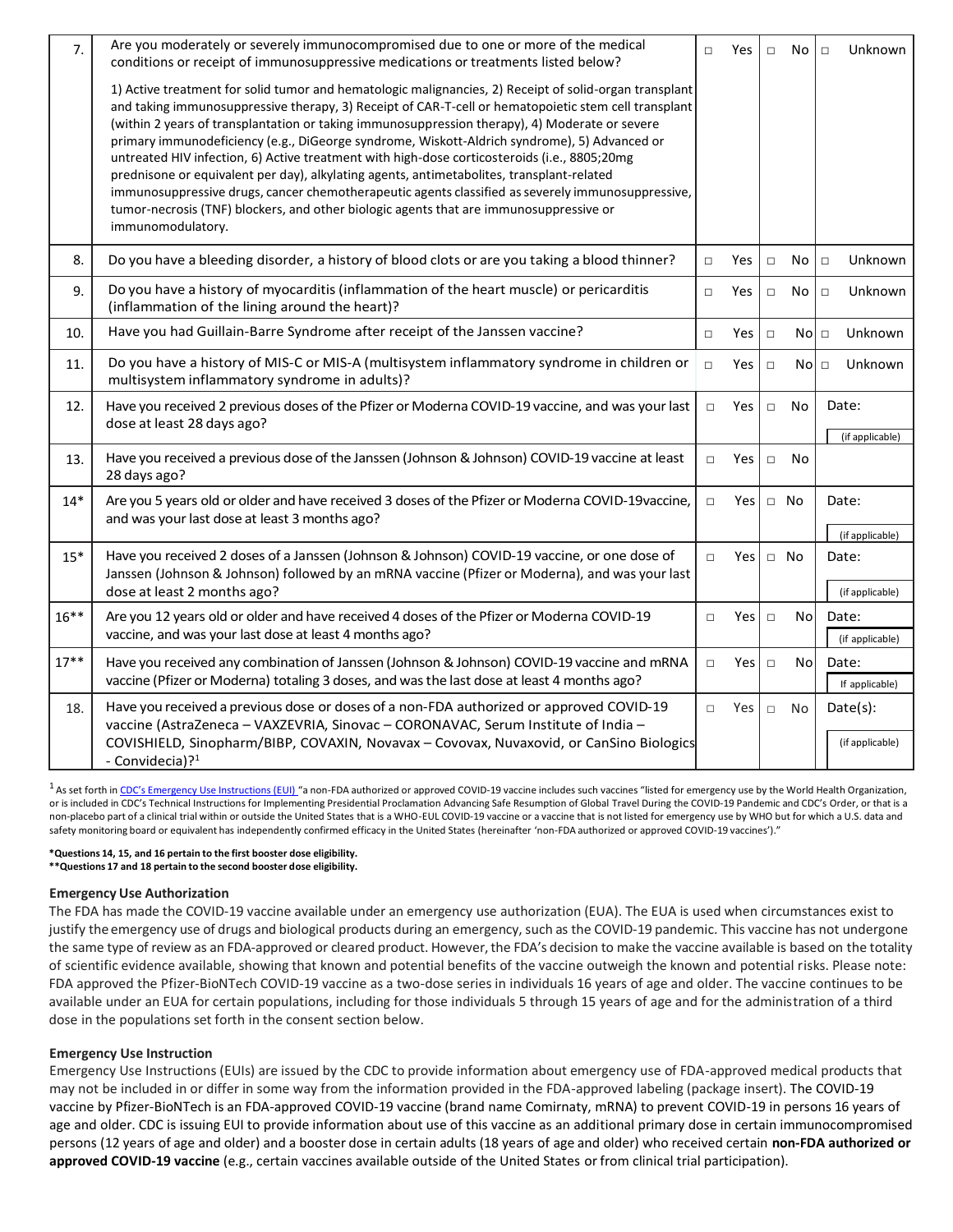| 7.      | Are you moderately or severely immunocompromised due to one or more of the medical<br>conditions or receipt of immunosuppressive medications or treatments listed below?                                                                                                                                                                                                                                                                                                                                                                                                                                                                                                                                                                                                                                                          |               |                              | $\Box$ | No               | Unknown<br>$\Box$        |
|---------|-----------------------------------------------------------------------------------------------------------------------------------------------------------------------------------------------------------------------------------------------------------------------------------------------------------------------------------------------------------------------------------------------------------------------------------------------------------------------------------------------------------------------------------------------------------------------------------------------------------------------------------------------------------------------------------------------------------------------------------------------------------------------------------------------------------------------------------|---------------|------------------------------|--------|------------------|--------------------------|
|         | 1) Active treatment for solid tumor and hematologic malignancies, 2) Receipt of solid-organ transplant<br>and taking immunosuppressive therapy, 3) Receipt of CAR-T-cell or hematopoietic stem cell transplant<br>(within 2 years of transplantation or taking immunosuppression therapy), 4) Moderate or severe<br>primary immunodeficiency (e.g., DiGeorge syndrome, Wiskott-Aldrich syndrome), 5) Advanced or<br>untreated HIV infection, 6) Active treatment with high-dose corticosteroids (i.e., 8805;20mg<br>prednisone or equivalent per day), alkylating agents, antimetabolites, transplant-related<br>immunosuppressive drugs, cancer chemotherapeutic agents classified as severely immunosuppressive,<br>tumor-necrosis (TNF) blockers, and other biologic agents that are immunosuppressive or<br>immunomodulatory. |               |                              |        |                  |                          |
| 8.      | Do you have a bleeding disorder, a history of blood clots or are you taking a blood thinner?                                                                                                                                                                                                                                                                                                                                                                                                                                                                                                                                                                                                                                                                                                                                      | $\Box$        | Yes                          | $\Box$ | <b>No</b>        | Unknown<br>$\Box$        |
| 9.      | Do you have a history of myocarditis (inflammation of the heart muscle) or pericarditis<br>(inflammation of the lining around the heart)?                                                                                                                                                                                                                                                                                                                                                                                                                                                                                                                                                                                                                                                                                         | $\Box$        | Yes                          | $\Box$ | No               | Unknown<br>$\Box$        |
| 10.     | Have you had Guillain-Barre Syndrome after receipt of the Janssen vaccine?                                                                                                                                                                                                                                                                                                                                                                                                                                                                                                                                                                                                                                                                                                                                                        | $\Box$        | <b>Yes</b>                   | $\Box$ | Nol <sub>□</sub> | Unknown                  |
| 11.     | Do you have a history of MIS-C or MIS-A (multisystem inflammatory syndrome in children or<br>multisystem inflammatory syndrome in adults)?                                                                                                                                                                                                                                                                                                                                                                                                                                                                                                                                                                                                                                                                                        | $\Box$        | Yes                          | $\Box$ | $No$ $\Box$      | Unknown                  |
| 12.     | Have you received 2 previous doses of the Pfizer or Moderna COVID-19 vaccine, and was your last<br>dose at least 28 days ago?                                                                                                                                                                                                                                                                                                                                                                                                                                                                                                                                                                                                                                                                                                     | $\Box$        | Yes<br>No<br>Date:<br>$\Box$ |        | (if applicable)  |                          |
| 13.     | Have you received a previous dose of the Janssen (Johnson & Johnson) COVID-19 vaccine at least<br>28 days ago?                                                                                                                                                                                                                                                                                                                                                                                                                                                                                                                                                                                                                                                                                                                    | $\Box$        | Yes                          | $\Box$ | No               |                          |
| $14*$   | Are you 5 years old or older and have received 3 doses of the Pfizer or Moderna COVID-19 vaccine,<br>and was your last dose at least 3 months ago?                                                                                                                                                                                                                                                                                                                                                                                                                                                                                                                                                                                                                                                                                | $\Box$        | Yes I                        |        | $\Box$ No        | Date:                    |
| $15*$   | Have you received 2 doses of a Janssen (Johnson & Johnson) COVID-19 vaccine, or one dose of<br>Janssen (Johnson & Johnson) followed by an mRNA vaccine (Pfizer or Moderna), and was your last                                                                                                                                                                                                                                                                                                                                                                                                                                                                                                                                                                                                                                     | Yes<br>$\Box$ |                              |        | $\Box$ No        | (if applicable)<br>Date: |
| $16***$ | dose at least 2 months ago?                                                                                                                                                                                                                                                                                                                                                                                                                                                                                                                                                                                                                                                                                                                                                                                                       |               |                              |        |                  | (if applicable)          |
|         | Are you 12 years old or older and have received 4 doses of the Pfizer or Moderna COVID-19<br>vaccine, and was your last dose at least 4 months ago?                                                                                                                                                                                                                                                                                                                                                                                                                                                                                                                                                                                                                                                                               | $\Box$        | Yes I                        | $\Box$ | No               | Date:<br>(if applicable) |
| $17***$ | Have you received any combination of Janssen (Johnson & Johnson) COVID-19 vaccine and mRNA<br>vaccine (Pfizer or Moderna) totaling 3 doses, and was the last dose at least 4 months ago?                                                                                                                                                                                                                                                                                                                                                                                                                                                                                                                                                                                                                                          | $\Box$        | Yes                          | $\Box$ | No               | Date:<br>If applicable)  |
| 18.     | Have you received a previous dose or doses of a non-FDA authorized or approved COVID-19<br>vaccine (AstraZeneca - VAXZEVRIA, Sinovac - CORONAVAC, Serum Institute of India -                                                                                                                                                                                                                                                                                                                                                                                                                                                                                                                                                                                                                                                      | $\Box$        | Yes                          | $\Box$ | No               | Date(s):                 |
|         | COVISHIELD, Sinopharm/BIBP, COVAXIN, Novavax - Covovax, Nuvaxovid, or CanSino Biologics<br>- Convidecia)? <sup>1</sup>                                                                                                                                                                                                                                                                                                                                                                                                                                                                                                                                                                                                                                                                                                            |               |                              |        |                  | (if applicable)          |

<sup>1</sup> As set forth in [CDC's Emergency Use Instructions \(EUI\)](https://www.cdc.gov/vaccines/covid-19/eui/index.html) "a non-FDA authorized or approved COVID-19 vaccine includes such vaccines "listed for emergency use by the World Health Organization, or is included in CDC's Technical Instructions for Implementing Presidential Proclamation Advancing Safe Resumption of Global Travel During the COVID-19 Pandemic and CDC's Order, or that is a non-placebo part of a clinical trial within or outside the United States that is a WHO-EUL COVID-19 vaccine or a vaccine that is not listed for emergency use by WHO but for which a U.S. data and safety monitoring board or equivalent has independently confirmed efficacy in the United States (hereinafter 'non-FDA authorized or approved COVID-19 vaccines')."

#### **\*Questions 14, 15, and 16 pertain to the first booster dose eligibility.**

**\*\*Questions 17 and 18 pertain to the second booster dose eligibility.**

#### **EmergencyUse Authorization**

The FDA has made the COVID-19 vaccine available under an emergency use authorization (EUA). The EUA is used when circumstances exist to justify the emergency use of drugs and biological products during an emergency, such as the COVID-19 pandemic. This vaccine has not undergone the same type of review as an FDA-approved or cleared product. However, the FDA's decision to make the vaccine available is based on the totality of scientific evidence available, showing that known and potential benefits of the vaccine outweigh the known and potential risks. Please note: FDA approved the Pfizer-BioNTech COVID-19 vaccine as a two-dose series in individuals 16 years of age and older. The vaccine continues to be available under an EUA for certain populations, including for those individuals 5 through 15 years of age and for the administration of a third dose in the populations set forth in the consent section below.

## **Emergency Use Instruction**

Emergency Use Instructions (EUIs) are issued by the CDC to provide information about emergency use of FDA-approved medical products that may not be included in or differ in some way from the information provided in the FDA-approved labeling (package insert). The COVID-19 vaccine by Pfizer-BioNTech is an FDA-approved COVID-19 vaccine (brand name Comirnaty, mRNA) to prevent COVID-19 in persons 16 years of age and older. CDC is issuing EUI to provide information about use of this vaccine as an additional primary dose in certain immunocompromised persons (12 years of age and older) and a booster dose in certain adults (18 years of age and older) who received certain **non-FDA authorized or approved COVID-19 vaccine** (e.g., certain vaccines available outside of the United States or from clinical trial participation).